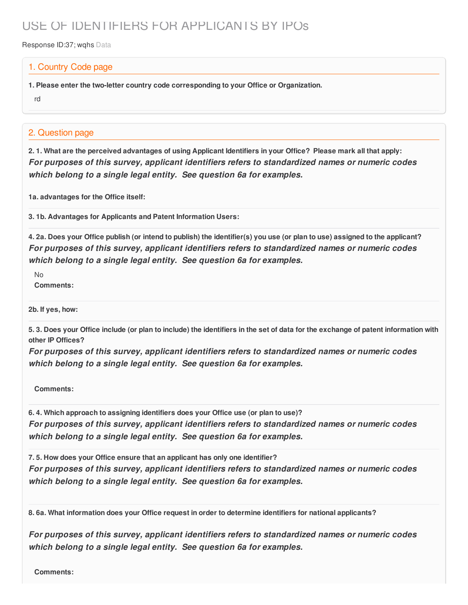## USE OF IDENTIFIERS FOR APPLICANTS BY IPOs

Response ID:37; wghs Data

## 1. Country Code page

**1. Please enter the two-letter country code corresponding to your Office or Organization.**

rd

## 2. Question page

2.1. What are the perceived advantages of using Applicant Identifiers in your Office? Please mark all that apply: *For purposes of this survey, applicant identifiers refers to standardized names or numeric codes which belong to a single legal entity. See question 6a for examples.*

**1a. advantages for the Office itself:**

**3. 1b. Advantages for Applicants and Patent Information Users:**

4. 2a. Does your Office publish (or intend to publish) the identifier(s) you use (or plan to use) assigned to the applicant? *For purposes of this survey, applicant identifiers refers to standardized names or numeric codes which belong to a single legal entity. See question 6a for examples.*

 $N<sub>0</sub>$ **Comments:**

**2b. If yes, how:**

5.3. Does your Office include (or plan to include) the identifiers in the set of data for the exchange of patent information with **other IP Offices?**

*For purposes of this survey, applicant identifiers refers to standardized names or numeric codes which belong to a single legal entity. See question 6a for examples.*

**Comments:**

**6. 4. Which approach to assigning identifiers does your Office use (or plan to use)?** *For purposes of this survey, applicant identifiers refers to standardized names or numeric codes which belong to a single legal entity. See question 6a for examples.*

**7. 5. How does your Office ensure that an applicant has only one identifier?** *For purposes of this survey, applicant identifiers refers to standardized names or numeric codes which belong to a single legal entity. See question 6a for examples.*

**8. 6a. What information does your Office request in order to determine identifiers for national applicants?**

*For purposes of this survey, applicant identifiers refers to standardized names or numeric codes which belong to a single legal entity. See question 6a for examples.*

**Comments:**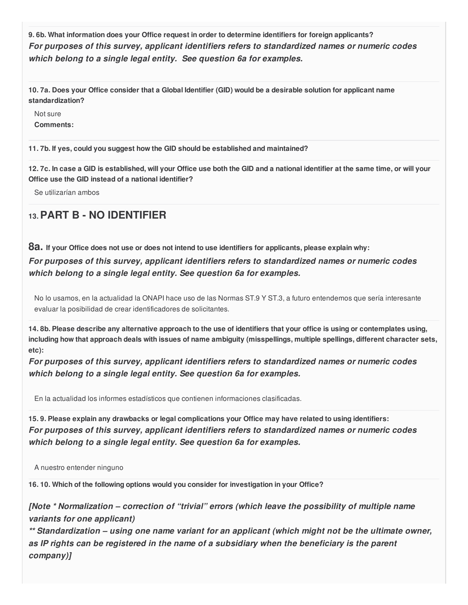**9. 6b. What information does your Office request in order to determine identifiers for foreign applicants?** *For purposes of this survey, applicant identifiers refers to standardized names or numeric codes which belong to a single legal entity. See question 6a for examples.*

10.7a. Does your Office consider that a Global Identifier (GID) would be a desirable solution for applicant name **standardization?**

Not sure **Comments:**

**11. 7b. If yes, could you suggest how the GID should be established and maintained?**

12.7c. In case a GID is established, will your Office use both the GID and a national identifier at the same time, or will your **Office use the GID instead of a national identifier?**

Se utilizarían ambos

## **13.PART B - NO IDENTIFIER**

8a. If your Office does not use or does not intend to use identifiers for applicants, please explain why: *For purposes of this survey, applicant identifiers refers to standardized names or numeric codes which belong to a single legal entity. See question 6a for examples.*

No lo usamos, en la actualidad la ONAPI hace uso de las Normas ST.9 Y ST.3, a futuro entendemos que sería interesante evaluar la posibilidad de crear identificadores de solicitantes.

14.8b. Please describe any alternative approach to the use of identifiers that your office is using or contemplates using, including how that approach deals with issues of name ambiguity (misspellings, multiple spellings, different character sets, **etc):**

*For purposes of this survey, applicant identifiers refers to standardized names or numeric codes which belong to a single legal entity. See question 6a for examples.*

En la actualidad los informes estadísticos que contienen informaciones clasificadas.

15.9. Please explain any drawbacks or legal complications your Office may have related to using identifiers: *For purposes of this survey, applicant identifiers refers to standardized names or numeric codes which belong to a single legal entity. See question 6a for examples.*

A nuestro entender ninguno

**16. 10. Which of the following options would you consider for investigation in your Office?**

*[Note \* Normalization – correction of "trivial" errors (which leave the possibility of multiple name variants for one applicant)*

*\*\* Standardization – using one name variant for an applicant (which might not be the ultimate owner, as IP rights can be registered in the name of a subsidiary when the beneficiary is the parent company)]*